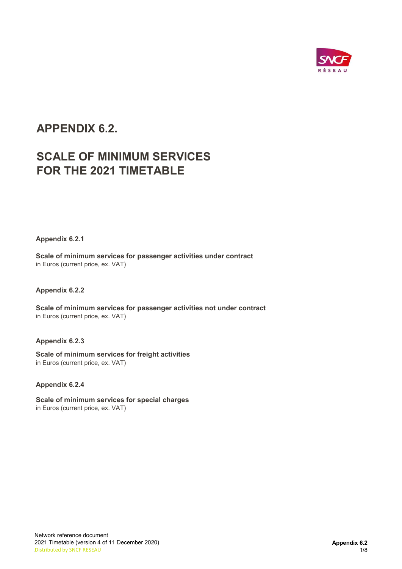

# APPENDIX 6.2.

# SCALE OF MINIMUM SERVICES FOR THE 2021 TIMETABLE

Appendix 6.2.1

Scale of minimum services for passenger activities under contract in Euros (current price, ex. VAT)

### Appendix 6.2.2

Scale of minimum services for passenger activities not under contract in Euros (current price, ex. VAT)

### Appendix 6.2.3

Scale of minimum services for freight activities in Euros (current price, ex. VAT)

### Appendix 6.2.4

Scale of minimum services for special charges in Euros (current price, ex. VAT)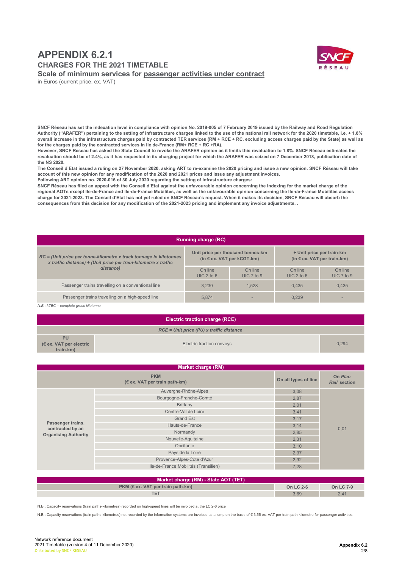## APPENDIX 6.2.1 CHARGES FOR THE 2021 TIMETABLE Scale of minimum services for passenger activities under contract



in Euros (current price, ex. VAT)

SNCF Réseau has set the indexation level in compliance with opinion No. 2019-005 of 7 February 2019 issued by the Railway and Road Regulation Authority ("ARAFER") pertaining to the setting of infrastructure charges linked to the use of the national rail network for the 2020 timetable, i.e. + 1.8% overall increase in the infrastructure charges paid by contracted TER services (RM + RCE + RC, excluding access charges paid by the State) as well as for the charges paid by the contracted services in Ile de-France (RM+ RCE + RC +RA).

However, SNCF Réseau has asked the State Council to revoke the ARAFER opinion as it limits this revaluation to 1.8%. SNCF Réseau estimates the revaluation should be of 2.4%, as it has requested in its charging project for which the ARAFER was seized on 7 December 2018, publication date of the NS 2020.

The Conseil d'Etat issued a ruling on 27 November 2020, asking ART to re-examine the 2020 pricing and issue a new opinion. SNCF Réseau will take account of this new opinion for any modification of the 2020 and 2021 prices and issue any adjustment invoices.

Following ART opinion no. 2020-016 of 30 July 2020 regarding the setting of infrastructure charges:

SNCF Réseau has filed an appeal with the Conseil d'Etat against the unfavourable opinion concerning the indexing for the market charge of the regional AOTs except Ile-de-France and Ile-de-France Mobilités, as well as the unfavourable opinion concerning the Ile-de-France Mobilités access charge for 2021-2023. The Conseil d'Etat has not yet ruled on SNCF Réseau's request. When it makes its decision, SNCF Réseau will absorb the consequences from this decision for any modification of the 2021-2023 pricing and implement any invoice adjustments. .

| <b>Running charge (RC)</b>                                                                                                              |                         |                                                                          |                                                                   |                       |  |  |  |
|-----------------------------------------------------------------------------------------------------------------------------------------|-------------------------|--------------------------------------------------------------------------|-------------------------------------------------------------------|-----------------------|--|--|--|
| $RC =$ (Unit price per tonne-kilometre x track tonnage in kilotonnes<br>x traffic distance) + (Unit price per train-kilometre x traffic |                         | Unit price per thousand tonnes-km<br>(in $\epsilon$ ex. VAT per kCGT-km) | + Unit price per train-km<br>(in $\epsilon$ ex. VAT per train-km) |                       |  |  |  |
| distance)                                                                                                                               | On line<br>$UIC$ 2 to 6 | On line<br>UIC 7 to 9                                                    | On line<br>$UIC$ 2 to 6                                           | On line<br>UIC 7 to 9 |  |  |  |
| Passenger trains travelling on a conventional line                                                                                      | 3.230                   | 1.528                                                                    | 0.435                                                             | 0.435                 |  |  |  |
| Passenger trains travelling on a high-speed line                                                                                        | 5.874                   |                                                                          | 0.239                                                             |                       |  |  |  |

N.B.: kTBC = complete gross kilotonne

|                                                            | <b>Electric traction charge (RCE)</b>      |       |
|------------------------------------------------------------|--------------------------------------------|-------|
|                                                            | $RCE = Unit$ price (PU) x traffic distance |       |
| <b>PU</b><br>$(\epsilon$ ex. VAT per electric<br>train-km) | Electric traction convoys                  | 0.294 |

| Market charge (RM)                                                   |                                      |                                |      |  |  |  |
|----------------------------------------------------------------------|--------------------------------------|--------------------------------|------|--|--|--|
|                                                                      | On all types of line                 | On Plan<br><b>Rail section</b> |      |  |  |  |
|                                                                      | Auvergne-Rhône-Alpes                 | 3,08                           |      |  |  |  |
|                                                                      | Bourgogne-Franche-Comté              | 2,87                           |      |  |  |  |
| Passenger trains,<br>contracted by an<br><b>Organising Authority</b> | <b>Brittany</b>                      | 2,01                           |      |  |  |  |
|                                                                      | Centre-Val de Loire                  | 3,41                           |      |  |  |  |
|                                                                      | <b>Grand Est</b>                     | 3,17                           |      |  |  |  |
|                                                                      | Hauts-de-France                      | 3,14                           | 0,01 |  |  |  |
|                                                                      | Normandy                             | 2,85                           |      |  |  |  |
|                                                                      | Nouvelle-Aquitaine                   | 2,31                           |      |  |  |  |
|                                                                      | Occitanie                            | 3,10                           |      |  |  |  |
|                                                                      | Pays de la Loire                     | 2,37                           |      |  |  |  |
|                                                                      | Provence-Alpes-Côte d'Azur           | 2,92                           |      |  |  |  |
|                                                                      | Ile-de-France Mobilités (Transilien) | 7.28                           |      |  |  |  |

| Market charge (RM) - State AOT (TET)     |           |           |  |  |  |
|------------------------------------------|-----------|-----------|--|--|--|
| $PKM$ ( $\in$ ex. VAT per train path-km) | On LC 2-6 | On LC 7-9 |  |  |  |
|                                          | 3,69      | 2,41      |  |  |  |

N.B.: Capacity reservations (train paths-kilometres) recorded on high-speed lines will be invoiced at the LC 2-6 price

N.B.: Capacity reservations (train paths-kilometres) not recorded by the information systems are invoiced as a lump on the basis of € 3.55 ex. VAT per train path-kilometre for passenger activities.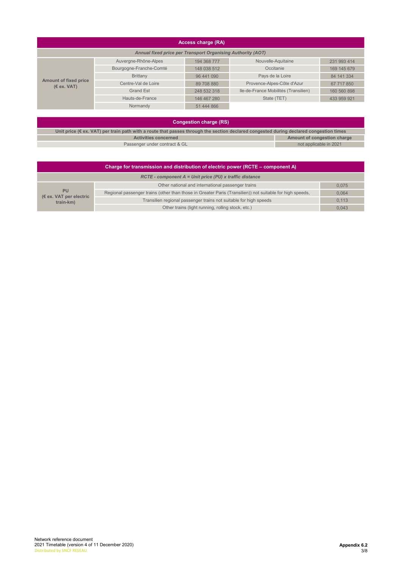| Access charge (RA)                                          |                         |             |                                      |             |  |  |  |
|-------------------------------------------------------------|-------------------------|-------------|--------------------------------------|-------------|--|--|--|
| Annual fixed price per Transport Organising Authority (AOT) |                         |             |                                      |             |  |  |  |
|                                                             | Auvergne-Rhône-Alpes    | 194 368 777 | Nouvelle-Aquitaine                   | 231 993 414 |  |  |  |
| Amount of fixed price<br>(E ex. VAT)                        | Bourgogne-Franche-Comté | 148 038 512 | Occitanie                            | 169 145 679 |  |  |  |
|                                                             | <b>Brittany</b>         | 96 441 090  | Pays de la Loire                     | 84 141 334  |  |  |  |
|                                                             | Centre-Val de Loire     | 89 708 880  | Provence-Alpes-Côte d'Azur           | 67 717 850  |  |  |  |
|                                                             | <b>Grand Est</b>        | 248 532 318 | Ile-de-France Mobilités (Transilien) | 160 560 898 |  |  |  |
|                                                             | Hauts-de-France         | 146 467 280 | State (TET)                          | 433 959 921 |  |  |  |
|                                                             | Normandy                | 51 444 866  |                                      |             |  |  |  |

#### Congestion charge (RS)

| $\sim$                                                                                                                                           |                             |  |  |  |  |  |
|--------------------------------------------------------------------------------------------------------------------------------------------------|-----------------------------|--|--|--|--|--|
| Unit price ( $\epsilon$ ex. VAT) per train path with a route that passes through the section declared congested during declared congestion times |                             |  |  |  |  |  |
| <b>Activities concerned</b>                                                                                                                      | Amount of congestion charge |  |  |  |  |  |
| Passenger under contract & GL                                                                                                                    | not applicable in 2021      |  |  |  |  |  |

| Charge for transmission and distribution of electric power (RCTE – component A) |                                                                                                          |       |  |  |  |  |  |
|---------------------------------------------------------------------------------|----------------------------------------------------------------------------------------------------------|-------|--|--|--|--|--|
|                                                                                 | $RCTE$ - component $A =$ Unit price (PU) x traffic distance                                              |       |  |  |  |  |  |
|                                                                                 | Other national and international passenger trains                                                        | 0.075 |  |  |  |  |  |
| <b>PU</b><br>$(\epsilon$ ex. VAT per electric<br>train-km)                      | Regional passenger trains (other than those in Greater Paris (Transilien)) not suitable for high speeds, | 0.064 |  |  |  |  |  |
|                                                                                 | Transilien regional passenger trains not suitable for high speeds                                        | 0,113 |  |  |  |  |  |
|                                                                                 | Other trains (light running, rolling stock, etc.)                                                        | 0.043 |  |  |  |  |  |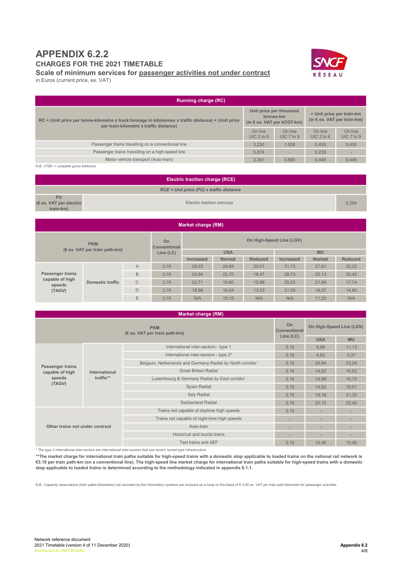# APPENDIX 6.2.2

CHARGES FOR THE 2021 TIMETABLE

Scale of minimum services for passenger activities not under contract

in Euros (current price, ex. VAT)

| <b>Running charge (RC)</b>                                                                                                                        |                                                                             |                       |                         |                                                                   |  |  |  |
|---------------------------------------------------------------------------------------------------------------------------------------------------|-----------------------------------------------------------------------------|-----------------------|-------------------------|-------------------------------------------------------------------|--|--|--|
| $RC =$ (Unit price per tonne-kilometre x track tonnage in kilotonnes x traffic distance) + (Unit price<br>per train-kilometre x traffic distance) | Unit price per thousand<br>tonnes-km<br>(in $\epsilon$ ex. VAT per kCGT-km) |                       |                         | + Unit price per train-km<br>(in $\epsilon$ ex. VAT per train-km) |  |  |  |
|                                                                                                                                                   |                                                                             | On line<br>UIC 7 to 9 | On line<br>$UIC$ 2 to 6 | On line<br>UIC 7 to 9                                             |  |  |  |
| Passenger trains travelling on a conventional line                                                                                                | 3.230                                                                       | 1.528                 | 0.435                   | 0.435                                                             |  |  |  |
| Passenger trains travelling on a high-speed line                                                                                                  | 5.874                                                                       |                       | 0.239                   |                                                                   |  |  |  |
| Motor vehicle transport (Auto-train)                                                                                                              | 2.391                                                                       | 0.690                 | 0.448                   | 0.448                                                             |  |  |  |
| $ND \cdot LTDC =$ complete aroon kilotonno                                                                                                        |                                                                             |                       |                         |                                                                   |  |  |  |

 $N.B.: kTBC = complete gross kilot$ 

|                                                   | <b>Electric traction charge (RCE)</b>      |       |
|---------------------------------------------------|--------------------------------------------|-------|
|                                                   | $RCE = Unit$ price (PU) x traffic distance |       |
| <b>PU</b><br>(€ ex. VAT per electric<br>train-km) | Electric traction convoys                  | 0.294 |
|                                                   |                                            |       |

| <b>Market charge (RM)</b>                            |                  |                         |                          |                  |               |                |           |               |                |
|------------------------------------------------------|------------------|-------------------------|--------------------------|------------------|---------------|----------------|-----------|---------------|----------------|
| <b>PKM</b><br>$(\epsilon$ ex. VAT per train path-km) |                  | On<br>Conventional      | On High-Speed Line (LGV) |                  |               |                |           |               |                |
|                                                      |                  | <b>USA</b><br>Line (LC) |                          |                  | <b>MU</b>     |                |           |               |                |
|                                                      |                  |                         |                          | <b>Increased</b> | <b>Normal</b> | <b>Reduced</b> | Increased | <b>Normal</b> | <b>Reduced</b> |
|                                                      | Domestic traffic | A                       | 3.19                     | 28.53            | 24.84         | 20.01          | 31.73     | 27.61         | 22,22          |
| <b>Passenger trains</b>                              |                  | B                       | 3,19                     | 25,94            | 22,70         | 18,47          | 28,73     | 25,13         | 20,42          |
| capable of high<br>speeds<br>(TAGV)                  |                  | $\mathsf{C}$            | 3,19                     | 22,71            | 19.80         | 15.98          | 25.23     | 21.99         | 17,74          |
|                                                      |                  | D                       | 3,19                     | 18.98            | 16.54         | 13.33          | 21.09     | 18.37         | 14,80          |
|                                                      |                  | E                       | 3,19                     | N/A              | 10.15         | N/A            | N/A       | 11.25         | N/A            |

| <b>Market charge (RM)</b>                                                   |               |                                                           |                          |                          |       |  |
|-----------------------------------------------------------------------------|---------------|-----------------------------------------------------------|--------------------------|--------------------------|-------|--|
|                                                                             |               | <b>On</b><br>Conventional                                 | On High-Speed Line (LGV) |                          |       |  |
| (€ ex. VAT per train path-km)                                               |               | Line (LC)                                                 | <b>USA</b>               | <b>MU</b>                |       |  |
|                                                                             |               | International inter-sectors - type 1                      | 3,19                     | 9,98                     | 11,13 |  |
|                                                                             |               | International inter-sectors - type 2*                     | 3,19                     | 4,82                     | 5,37  |  |
| <b>Passenger trains</b><br>capable of high<br>speeds<br>traffic**<br>(TAGV) | International | Belgium, Netherlands and Germany Radial by North corridor | 3,19                     | 20,84                    | 23,24 |  |
|                                                                             |               | <b>Great Britain Radial</b>                               | 3,19                     | 14,82                    | 16,52 |  |
|                                                                             |               | Luxembourg & Germany Radial by East corridor              | 3,19                     | 14,99                    | 16,70 |  |
|                                                                             |               | Spain Radial                                              | 3,19                     | 14,82                    | 16,51 |  |
|                                                                             |               | <b>Italy Radial</b>                                       | 3,19                     | 19,16                    | 21,35 |  |
|                                                                             |               | <b>Switzerland Radial</b>                                 | 3,19                     | 20,10                    | 22,40 |  |
|                                                                             |               | Trains not capable of daytime high speeds                 | 3,19                     |                          |       |  |
|                                                                             |               | Trains not capable of night-time high speeds              | ٠                        | $\overline{\phantom{a}}$ |       |  |
| Other trains not under contract                                             |               | Auto-train                                                | ٠                        | ٠                        |       |  |
|                                                                             |               | Historical and tourist trains                             |                          |                          |       |  |
|                                                                             |               | Test trains and AEF                                       | 3,19                     | 10,46                    | 10,46 |  |

\* The type 2 international inter-sectors are international inter-sectors that use recent, tunnel-type infrastructure.

\*\*The market charge for international train paths suitable for high-speed trains with a domestic stop applicable to loaded trains on the national rail network is €3.19 per train path-km (on a conventional line). The high-speed line market charge for international train paths suitable for high-speed trains with a domestic stop applicable to loaded trains is determined according to the methodology indicated in appendix 6.1.1.

N.B.: Capacity reservations (train paths-kilometres) not recorded by the information systems are invoiced as a lump on the basis of € 3.55 ex. VAT per train path-kilometre for passenger activities.

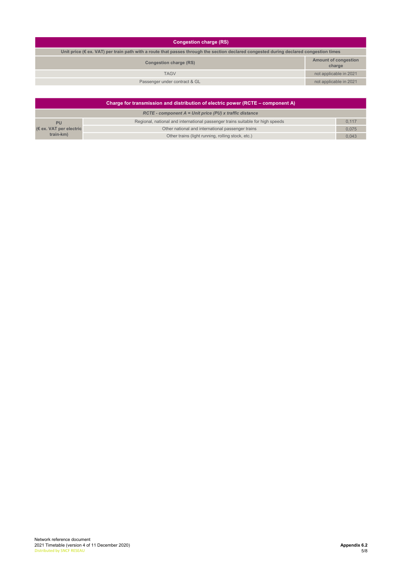#### Congestion charge (RS)

| Unit price ( $\epsilon$ ex. VAT) per train path with a route that passes through the section declared congested during declared congestion times |                                       |  |  |  |
|--------------------------------------------------------------------------------------------------------------------------------------------------|---------------------------------------|--|--|--|
| Congestion charge (RS)                                                                                                                           | <b>Amount of congestion</b><br>charge |  |  |  |
| <b>TAGV</b>                                                                                                                                      | not applicable in 2021                |  |  |  |
| Passenger under contract & GL                                                                                                                    | not applicable in 2021                |  |  |  |

|                                  | Charge for transmission and distribution of electric power (RCTE – component A) |       |
|----------------------------------|---------------------------------------------------------------------------------|-------|
|                                  | $RCTE$ - component $A =$ Unit price (PU) x traffic distance                     |       |
| <b>PU</b>                        | Regional, national and international passenger trains suitable for high speeds  | 0.117 |
| $(\epsilon$ ex. VAT per electric | Other national and international passenger trains                               | 0.075 |
| train-km)                        | Other trains (light running, rolling stock, etc.)                               | 0,043 |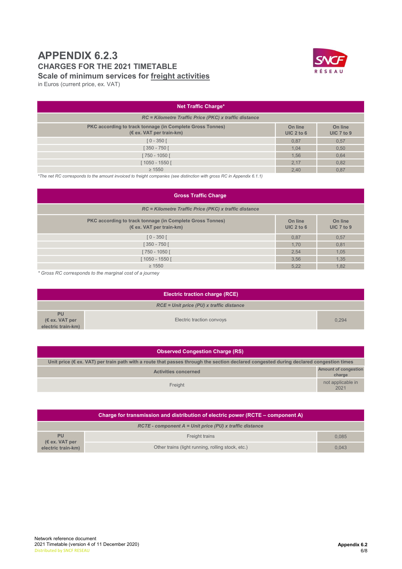## APPENDIX 6.2.3 CHARGES FOR THE 2021 TIMETABLE Scale of minimum services for freight activities



in Euros (current price, ex. VAT)

| <b>Net Traffic Charge*</b>                                                            |                         |                           |
|---------------------------------------------------------------------------------------|-------------------------|---------------------------|
| RC = Kilometre Traffic Price (PKC) x traffic distance                                 |                         |                           |
| PKC according to track tonnage (in Complete Gross Tonnes)<br>(€ ex. VAT per train-km) | On line<br>UIC $2$ to 6 | On line<br>UIC $7$ to $9$ |
| $[0 - 350]$                                                                           | 0,87                    | 0,57                      |
| $[350 - 750]$                                                                         | 1.04                    | 0,50                      |
| [750 - 1050 [                                                                         | 1.56                    | 0,64                      |
| 1050 - 1550                                                                           | 2,17                    | 0,82                      |
| $\geq 1550$                                                                           | 2,40                    | 0,87                      |

\*The net RC corresponds to the amount invoiced to freight companies (see distinction with gross RC in Appendix 6.1.1)

| <b>Gross Traffic Charge</b>                                                           |                        |                       |
|---------------------------------------------------------------------------------------|------------------------|-----------------------|
| RC = Kilometre Traffic Price (PKC) x traffic distance                                 |                        |                       |
| PKC according to track tonnage (in Complete Gross Tonnes)<br>(€ ex. VAT per train-km) | On line<br>$UIC2$ to 6 | On line<br>UIC 7 to 9 |
| $[0 - 350]$                                                                           | 0,87                   | 0,57                  |
| $[350 - 750]$                                                                         | 1.70                   | 0,81                  |
| [750 - 1050 [                                                                         | 2,54                   | 1,05                  |
| $1050 - 1550$                                                                         | 3,56                   | 1,35                  |
| $\geq 1550$                                                                           | 5,22                   | 1,82                  |

\* Gross RC corresponds to the marginal cost of a journey

| <b>Electric traction charge (RCE)</b>                      |                           |       |
|------------------------------------------------------------|---------------------------|-------|
| RCE = Unit price (PU) x traffic distance                   |                           |       |
| <b>PU</b><br>$(\epsilon$ ex. VAT per<br>electric train-km) | Electric traction convoys | 0.294 |

| <b>Observed Congestion Charge (RS)</b>                                                                                                           |                                       |  |
|--------------------------------------------------------------------------------------------------------------------------------------------------|---------------------------------------|--|
| Unit price ( $\epsilon$ ex. VAT) per train path with a route that passes through the section declared congested during declared congestion times |                                       |  |
| <b>Activities concerned</b>                                                                                                                      | <b>Amount of congestion</b><br>charge |  |
| Freight                                                                                                                                          | not applicable in<br>2021             |  |

| Charge for transmission and distribution of electric power (RCTE – component A) |                                                             |       |
|---------------------------------------------------------------------------------|-------------------------------------------------------------|-------|
|                                                                                 | $RCTE$ - component $A = Unit$ price (PU) x traffic distance |       |
| <b>PU</b>                                                                       | Freight trains                                              | 0.085 |
| $(\epsilon$ ex. VAT per<br>electric train-km)                                   | Other trains (light running, rolling stock, etc.)           | 0.043 |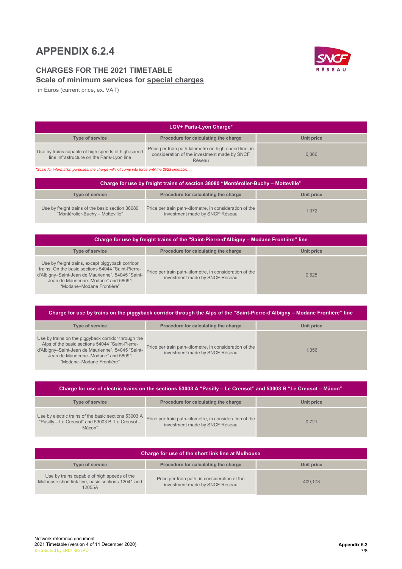# APPENDIX 6.2.4

### CHARGES FOR THE 2021 TIMETABLE Scale of minimum services for special charges



in Euros (current price, ex. VAT)

| <b>LGV+ Paris-Lyon Charge*</b>                                                                   |                                                                                                                 |            |  |
|--------------------------------------------------------------------------------------------------|-----------------------------------------------------------------------------------------------------------------|------------|--|
| Type of service                                                                                  | Procedure for calculating the charge                                                                            | Unit price |  |
| Use by trains capable of high speeds of high-speed<br>line infrastructure on the Paris-Lyon line | Price per train path-kilometre on high-speed line, in<br>consideration of the investment made by SNCF<br>Réseau | 0.360      |  |

\*Scale for information purposes; the charge will not come into force until the 2023 timetable.

| Charge for use by freight trains of section 38080 "Montérolier-Buchy – Motteville"   |                                                                                           |            |  |
|--------------------------------------------------------------------------------------|-------------------------------------------------------------------------------------------|------------|--|
| Type of service                                                                      | Procedure for calculating the charge                                                      | Unit price |  |
| Use by freight trains of the basic section 38080<br>"Montérolier-Buchy - Motteville" | Price per train path-kilometre, in consideration of the<br>investment made by SNCF Réseau | 1,072      |  |

| Charge for use by freight trains of the "Saint-Pierre-d'Albigny – Modane Frontière" line                                                                                                                                        |                                                                                           |            |  |
|---------------------------------------------------------------------------------------------------------------------------------------------------------------------------------------------------------------------------------|-------------------------------------------------------------------------------------------|------------|--|
| <b>Type of service</b>                                                                                                                                                                                                          | Procedure for calculating the charge                                                      | Unit price |  |
| Use by freight trains, except piggyback corridor<br>trains, On the basic sections 54044 "Saint-Pierre-<br>d'Albigny-Saint-Jean de Maurienne", 54045 "Saint-<br>Jean de Maurienne-Modane" and 58091<br>"Modane-Modane Frontière" | Price per train path-kilometre, in consideration of the<br>investment made by SNCF Réseau | 0.525      |  |

| Charge for use by trains on the piggyback corridor through the Alps of the "Saint-Pierre-d'Albigny – Modane Frontière" line                                                                                                     |                                                                                           |            |  |
|---------------------------------------------------------------------------------------------------------------------------------------------------------------------------------------------------------------------------------|-------------------------------------------------------------------------------------------|------------|--|
| Type of service                                                                                                                                                                                                                 | Procedure for calculating the charge                                                      | Unit price |  |
| Use by trains on the piggyback corridor through the<br>Alps of the basic sections 54044 "Saint-Pierre-<br>d'Albigny-Saint-Jean de Maurienne", 54045 "Saint-<br>Jean de Maurienne-Modane" and 58091<br>"Modane-Modane Frontière" | Price per train path-kilometre, in consideration of the<br>investment made by SNCF Réseau | 1.356      |  |

| Charge for use of electric trains on the sections 53003 A "Pasilly – Le Creusot" and 53003 B "Le Creusot – Mâcon"  |                                                                                           |            |  |
|--------------------------------------------------------------------------------------------------------------------|-------------------------------------------------------------------------------------------|------------|--|
| <b>Type of service</b>                                                                                             | Procedure for calculating the charge                                                      | Unit price |  |
| Use by electric trains of the basic sections 53003 A<br>"Pasilly - Le Creusot" and 53003 B "Le Creusot -<br>Mâcon" | Price per train path-kilometre, in consideration of the<br>investment made by SNCF Réseau | 0.721      |  |

| Charge for use of the short link line at Mulhouse                                                           |                                                                                 |            |  |
|-------------------------------------------------------------------------------------------------------------|---------------------------------------------------------------------------------|------------|--|
| Type of service                                                                                             | Procedure for calculating the charge                                            | Unit price |  |
| Use by trains capable of high speeds of the<br>Mulhouse short link line, basic sections 12041 and<br>12055A | Price per train path, in consideration of the<br>investment made by SNCF Réseau | 409.178    |  |